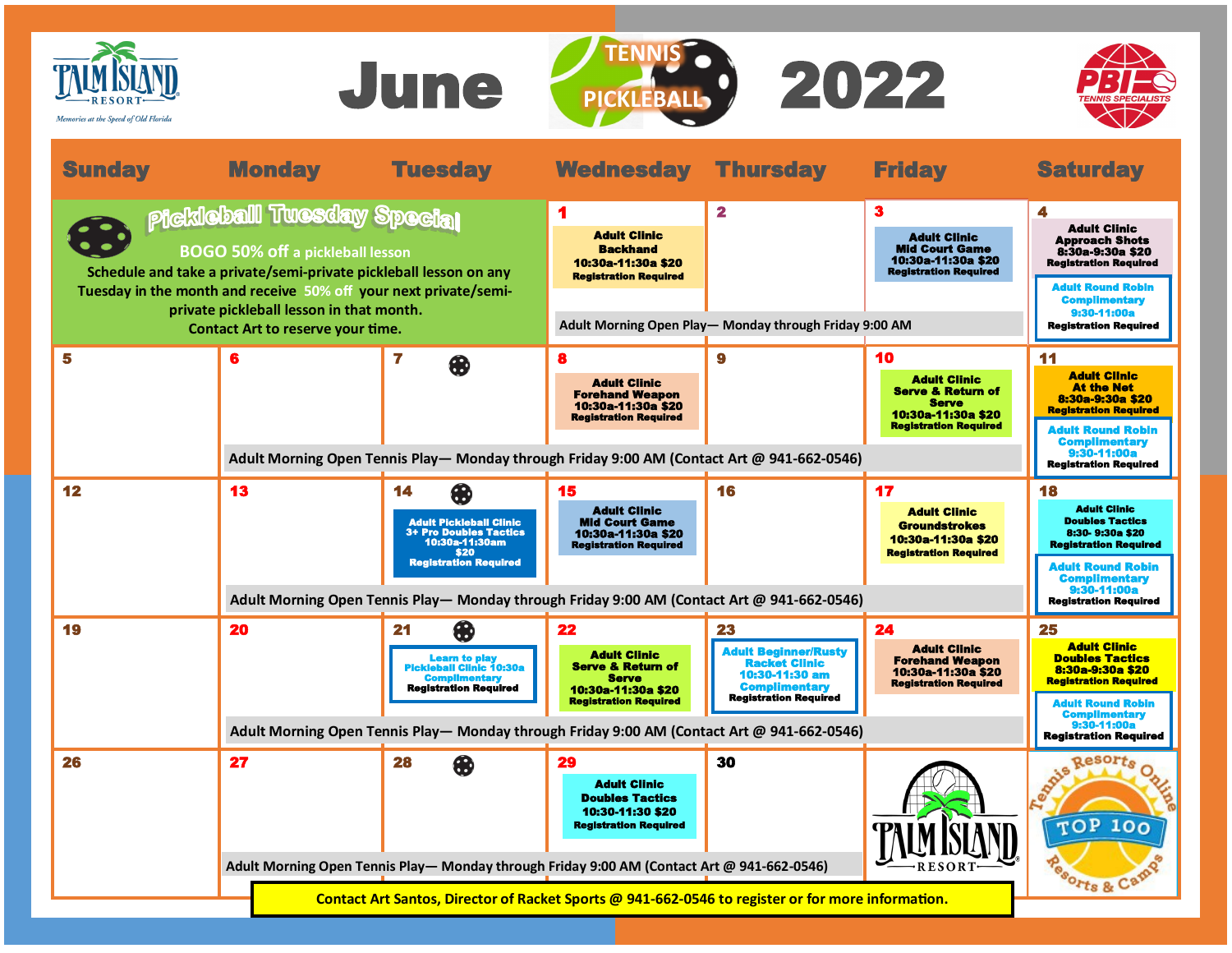